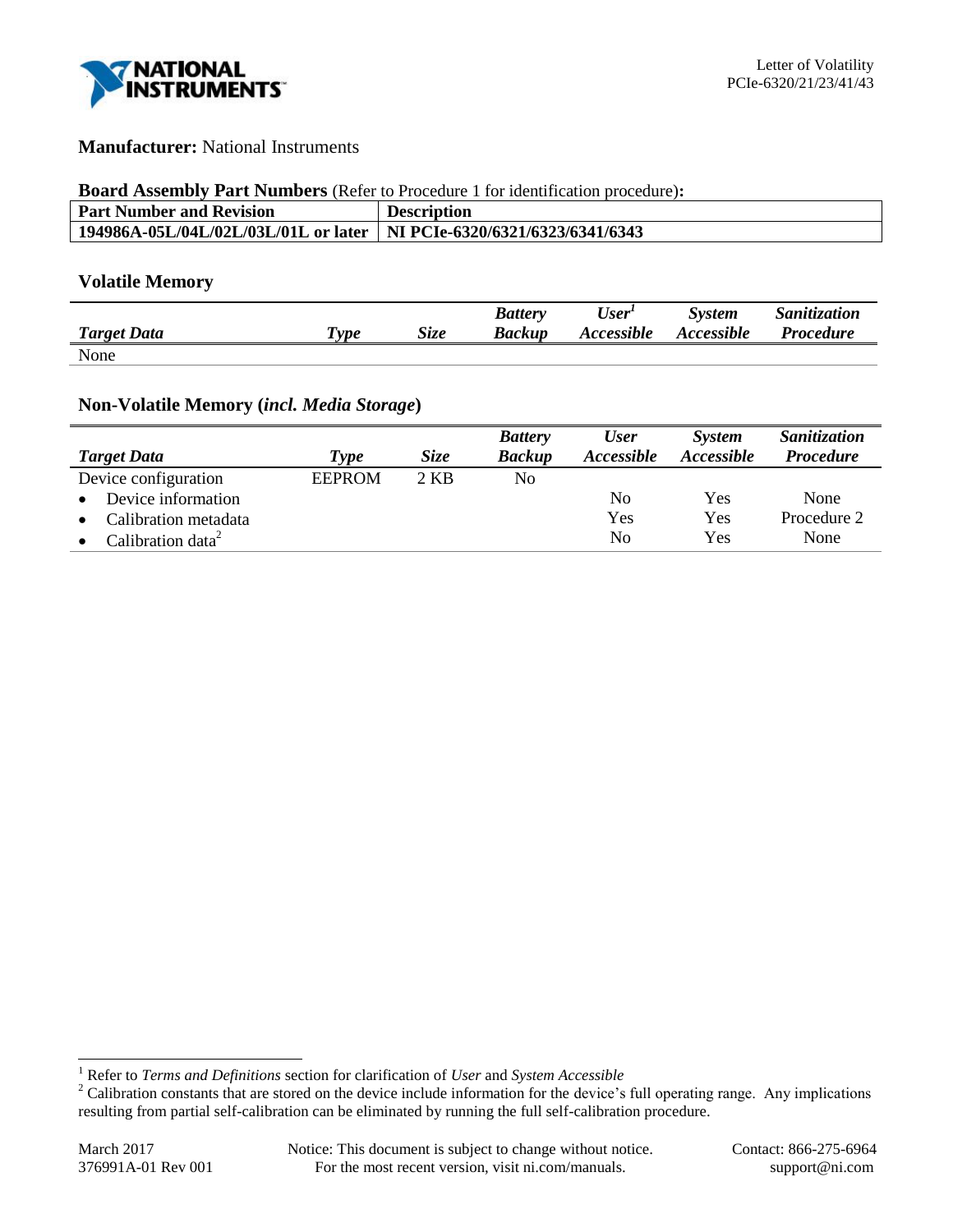

## **Manufacturer:** National Instruments

### **Board Assembly Part Numbers** (Refer to Procedure 1 for identification procedure)**:**

| <b>Part Number and Revision</b>      | <b>Description</b>               |
|--------------------------------------|----------------------------------|
| 194986A-05L/04L/02L/03L/01L or later | NI PCIe-6320/6321/6323/6341/6343 |

## **Volatile Memory**

|                    |                       |             | <b>Battery</b> | User <sup>1</sup>        | <b>System</b> | Sanitization     |
|--------------------|-----------------------|-------------|----------------|--------------------------|---------------|------------------|
| <b>Target Data</b> | $T$ <sub>V</sub> $pe$ | <b>Size</b> | Backup         | <i><b>Accessible</b></i> | Accessible    | <b>Procedure</b> |
| None               |                       |             |                |                          |               |                  |

# **Non-Volatile Memory (***incl. Media Storage***)**

|                               |               |             | <b>Battery</b> | <b>User</b> | <b>System</b> | Sanitization     |
|-------------------------------|---------------|-------------|----------------|-------------|---------------|------------------|
| <b>Target Data</b>            | Type          | <i>Size</i> | <b>Backup</b>  | Accessible  | Accessible    | <b>Procedure</b> |
| Device configuration          | <b>EEPROM</b> | 2 KB        | No             |             |               |                  |
| Device information            |               |             |                | No          | Yes           | None             |
| Calibration metadata          |               |             |                | Yes         | Yes           | Procedure 2      |
| Calibration data <sup>2</sup> |               |             |                | No          | Yes           | None             |

l

<sup>1</sup> Refer to *Terms and Definitions* section for clarification of *User* and *System Accessible*

<sup>&</sup>lt;sup>2</sup> Calibration constants that are stored on the device include information for the device's full operating range. Any implications resulting from partial self-calibration can be eliminated by running the full self-calibration procedure.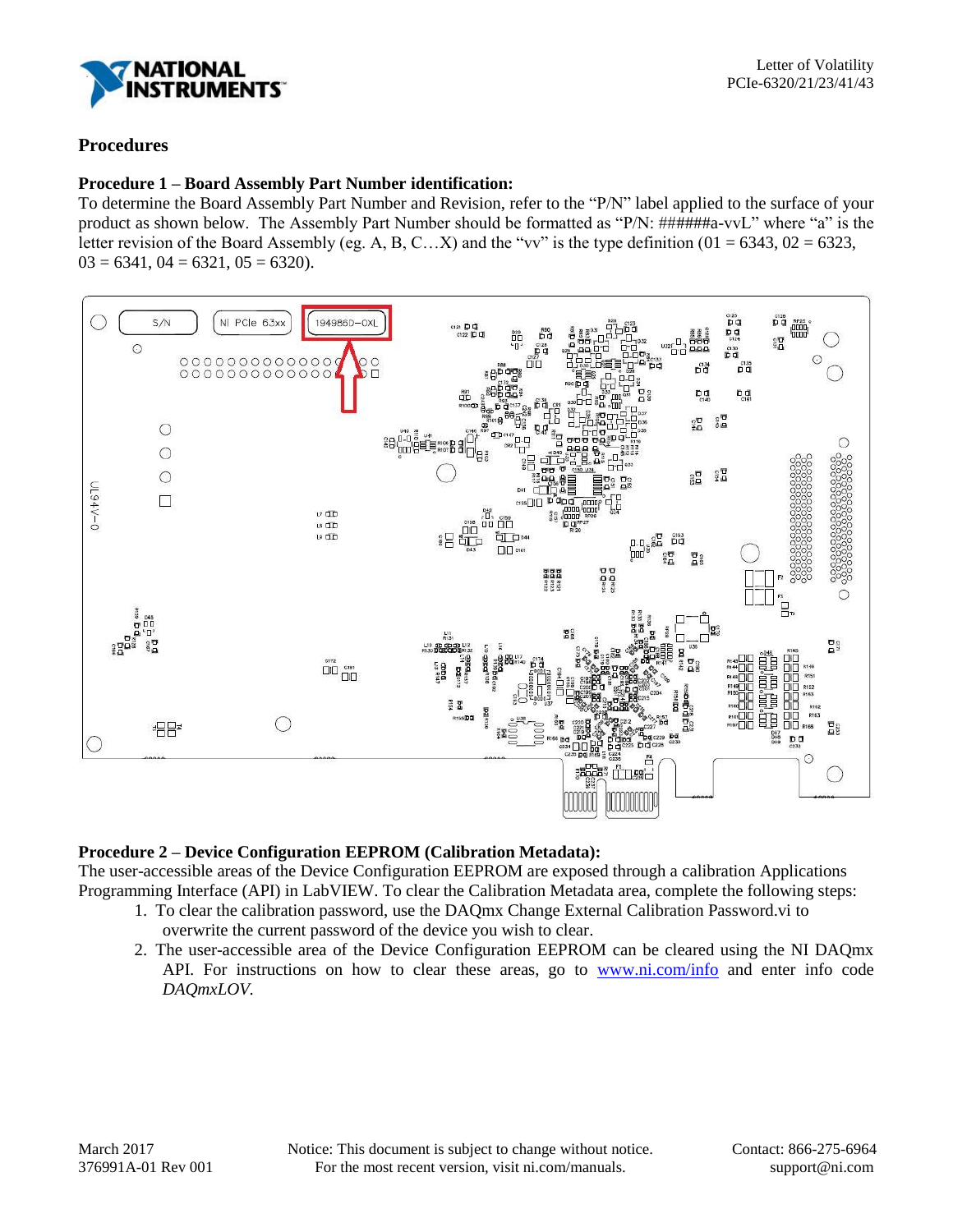

# **Procedures**

## **Procedure 1 – Board Assembly Part Number identification:**

To determine the Board Assembly Part Number and Revision, refer to the "P/N" label applied to the surface of your product as shown below. The Assembly Part Number should be formatted as "P/N: ######a-vvL" where "a" is the letter revision of the Board Assembly (eg. A, B, C…X) and the "vv" is the type definition ( $01 = 6343$ ,  $02 = 6323$ ,  $03 = 6341$ ,  $04 = 6321$ ,  $05 = 6320$ ).



### **Procedure 2 – Device Configuration EEPROM (Calibration Metadata):**

The user-accessible areas of the Device Configuration EEPROM are exposed through a calibration Applications Programming Interface (API) in LabVIEW. To clear the Calibration Metadata area, complete the following steps:

- 1. To clear the calibration password, use the DAQmx Change External Calibration Password.vi to overwrite the current password of the device you wish to clear.
- 2. The user-accessible area of the Device Configuration EEPROM can be cleared using the NI DAQmx API. For instructions on how to clear these areas, go to [www.ni.com/info](http://www.ni.com/info) and enter info code *DAQmxLOV.*